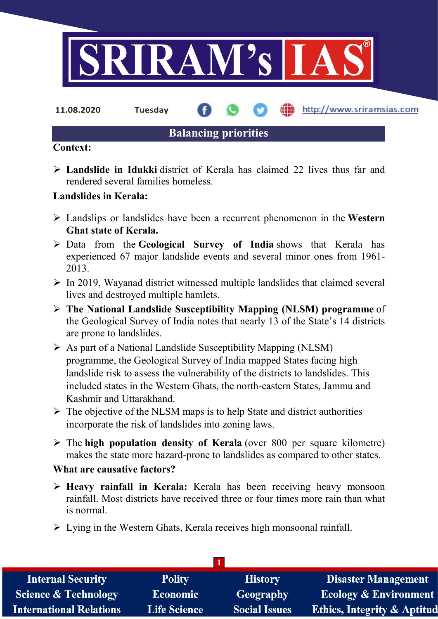

11.08.2020 Tuesday

http://www.sriramsias.com

# Balancing priorities

### Context:

 $\triangleright$  Landslide in Idukki district of Kerala has claimed 22 lives thus far and rendered several families homeless.

# Landslides in Kerala:

- $\triangleright$  Landslips or landslides have been a recurrent phenomenon in the Western Ghat state of Kerala.
- $\triangleright$  Data from the Geological Survey of India shows that Kerala has experienced 67 major landslide events and several minor ones from 1961- 2013.
- $\triangleright$  In 2019, Wayanad district witnessed multiple landslides that claimed several lives and destroyed multiple hamlets.
- $\triangleright$  The National Landslide Susceptibility Mapping (NLSM) programme of the Geological Survey of India notes that nearly 13 of the State's 14 districts are prone to landslides.
- $\triangleright$  As part of a National Landslide Susceptibility Mapping (NLSM) programme, the Geological Survey of India mapped States facing high landslide risk to assess the vulnerability of the districts to landslides. This included states in the Western Ghats, the north-eastern States, Jammu and Kashmir and Uttarakhand.
- $\triangleright$  The objective of the NLSM maps is to help State and district authorities incorporate the risk of landslides into zoning laws.
- $\triangleright$  The high population density of Kerala (over 800 per square kilometre) makes the state more hazard-prone to landslides as compared to other states.

## What are causative factors?

- $\triangleright$  Heavy rainfall in Kerala: Kerala has been receiving heavy monsoon rainfall. Most districts have received three or four times more rain than what is normal.
- $\triangleright$  Lying in the Western Ghats, Kerala receives high monsoonal rainfall.

| <b>Internal Security</b>        | <b>Polity</b>       | <b>History</b>       | <b>Disaster Management</b>             |
|---------------------------------|---------------------|----------------------|----------------------------------------|
| <b>Science &amp; Technology</b> | <b>Economic</b>     | Geography            | <b>Ecology &amp; Environment</b>       |
| <b>International Relations</b>  | <b>Life Science</b> | <b>Social Issues</b> | <b>Ethics, Integrity &amp; Aptitud</b> |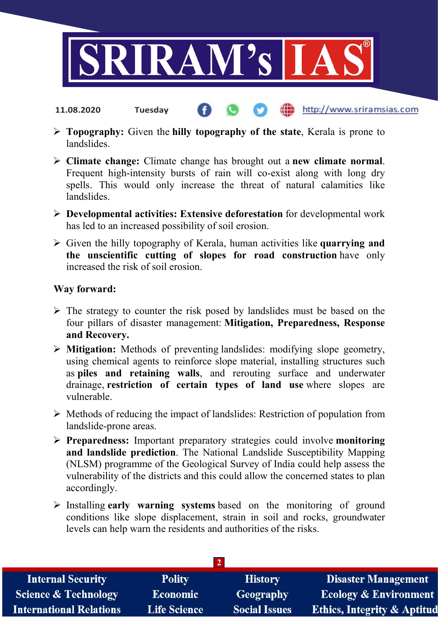

 $\triangleright$  Topography: Given the hilly topography of the state, Kerala is prone to landslides.

http://www.sriramsias.com

- > Climate change: Climate change has brought out a new climate normal. Frequent high-intensity bursts of rain will co-exist along with long dry spells. This would only increase the threat of natural calamities like landslides.
- $\triangleright$  Developmental activities: Extensive deforestation for developmental work has led to an increased possibility of soil erosion.
- $\triangleright$  Given the hilly topography of Kerala, human activities like quarrying and the unscientific cutting of slopes for road construction have only increased the risk of soil erosion.

#### Way forward:

11.08.2020 Tuesday

- $\triangleright$  The strategy to counter the risk posed by landslides must be based on the four pillars of disaster management: Mitigation, Preparedness, Response and Recovery.
- $\triangleright$  Mitigation: Methods of preventing landslides: modifying slope geometry, using chemical agents to reinforce slope material, installing structures such as piles and retaining walls, and rerouting surface and underwater drainage, restriction of certain types of land use where slopes are vulnerable.
- $\triangleright$  Methods of reducing the impact of landslides: Restriction of population from landslide-prone areas.
- $\triangleright$  Preparedness: Important preparatory strategies could involve monitoring and landslide prediction. The National Landslide Susceptibility Mapping (NLSM) programme of the Geological Survey of India could help assess the vulnerability of the districts and this could allow the concerned states to plan accordingly.
- $\triangleright$  Installing early warning systems based on the monitoring of ground conditions like slope displacement, strain in soil and rocks, groundwater levels can help warn the residents and authorities of the risks.

| <b>Internal Security</b>        | <b>Polity</b>       | <b>History</b>       | <b>Disaster Management</b>             |  |  |  |
|---------------------------------|---------------------|----------------------|----------------------------------------|--|--|--|
| <b>Science &amp; Technology</b> | <b>Economic</b>     | Geography            | <b>Ecology &amp; Environment</b>       |  |  |  |
| <b>International Relations</b>  | <b>Life Science</b> | <b>Social Issues</b> | <b>Ethics, Integrity &amp; Aptitud</b> |  |  |  |